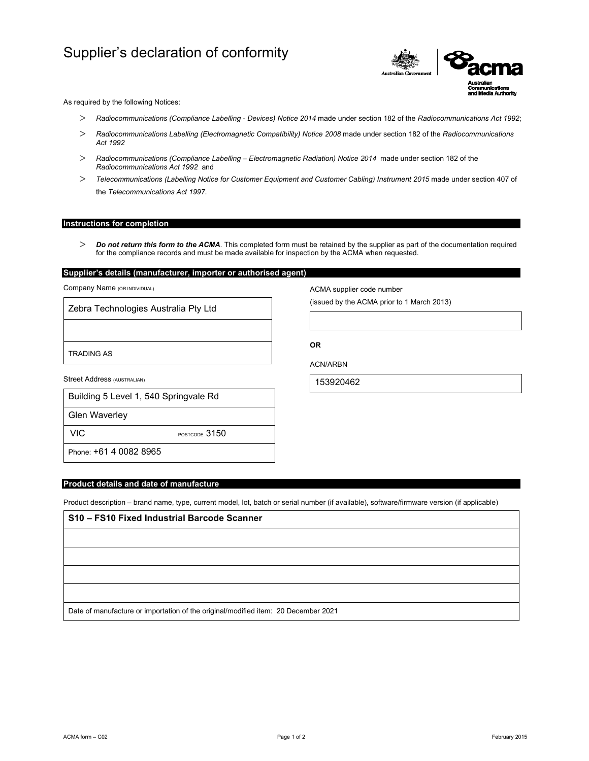# Supplier's declaration of conformity



As required by the following Notices:

- *Radiocommunications (Compliance Labelling Devices) Notice 2014* made under section 182 of the *Radiocommunications Act 1992*;
- *Radiocommunications Labelling (Electromagnetic Compatibility) Notice 2008* made under section 182 of the *Radiocommunications Act 1992*
- *Radiocommunications (Compliance Labelling Electromagnetic Radiation) Notice 2014* made under section 182 of the *Radiocommunications Act 1992* and
- *Telecommunications (Labelling Notice for Customer Equipment and Customer Cabling) Instrument 2015* made under section 407 of the *Telecommunications Act 1997*.

### **Instructions for completion**

 *Do not return this form to the ACMA*. This completed form must be retained by the supplier as part of the documentation required for the compliance records and must be made available for inspection by the ACMA when requested.

## **Supplier's details (manufacturer, importer or authorised agent)**

Company Name (OR INDIVIDUAL)

Zebra Technologies Australia Pty Ltd

TRADING AS

Street Address (AUSTRALIAN)

| Building 5 Level 1, 540 Springvale Rd |
|---------------------------------------|
|                                       |

Glen Waverley

VIC POSTCODE 3150

Phone: +61 4 0082 8965

### **Product details and date of manufacture**

Product description – brand name, type, current model, lot, batch or serial number (if available), software/firmware version (if applicable)

| S10 - FS10 Fixed Industrial Barcode Scanner                                        |  |  |
|------------------------------------------------------------------------------------|--|--|
|                                                                                    |  |  |
|                                                                                    |  |  |
|                                                                                    |  |  |
|                                                                                    |  |  |
| Date of manufacture or importation of the original/modified item: 20 December 2021 |  |  |

ACMA supplier code number

(issued by the ACMA prior to 1 March 2013)

**OR** 

ACN/ARBN

153920462